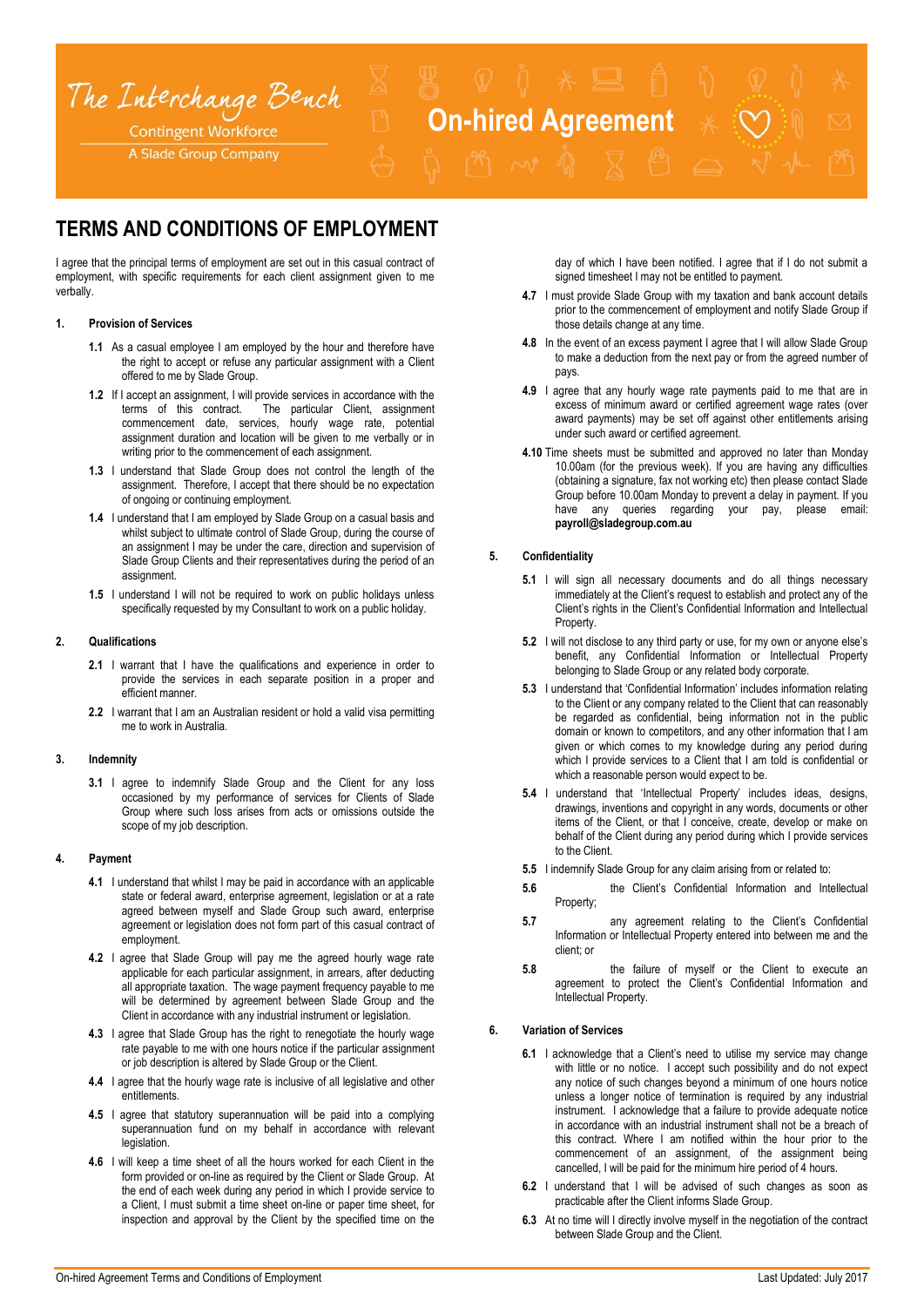

# **TERMS AND CONDITIONS OF EMPLOYMENT**

I agree that the principal terms of employment are set out in this casual contract of employment, with specific requirements for each client assignment given to me verbally.

# **1. Provision of Services**

- **1.1** As a casual employee I am employed by the hour and therefore have the right to accept or refuse any particular assignment with a Client offered to me by Slade Group.
- **1.2** If I accept an assignment, I will provide services in accordance with the terms of this contract. The particular Client, assignment The particular Client, assignment commencement date, services, hourly wage rate, potential assignment duration and location will be given to me verbally or in writing prior to the commencement of each assignment.
- **1.3** I understand that Slade Group does not control the length of the assignment. Therefore, I accept that there should be no expectation of ongoing or continuing employment.
- **1.4** I understand that I am employed by Slade Group on a casual basis and whilst subject to ultimate control of Slade Group, during the course of an assignment I may be under the care, direction and supervision of Slade Group Clients and their representatives during the period of an assignment.
- **1.5** I understand I will not be required to work on public holidays unless specifically requested by my Consultant to work on a public holiday.

## **2. Qualifications**

- **2.1** I warrant that I have the qualifications and experience in order to provide the services in each separate position in a proper and efficient manner.
- **2.2** I warrant that I am an Australian resident or hold a valid visa permitting me to work in Australia.

## **3. Indemnity**

**3.1** I agree to indemnify Slade Group and the Client for any loss occasioned by my performance of services for Clients of Slade Group where such loss arises from acts or omissions outside the scope of my job description.

## **4. Payment**

- **4.1** I understand that whilst I may be paid in accordance with an applicable state or federal award, enterprise agreement, legislation or at a rate agreed between myself and Slade Group such award, enterprise agreement or legislation does not form part of this casual contract of employment.
- **4.2** I agree that Slade Group will pay me the agreed hourly wage rate applicable for each particular assignment, in arrears, after deducting all appropriate taxation. The wage payment frequency payable to me will be determined by agreement between Slade Group and the Client in accordance with any industrial instrument or legislation.
- **4.3** I agree that Slade Group has the right to renegotiate the hourly wage rate payable to me with one hours notice if the particular assignment or job description is altered by Slade Group or the Client.
- **4.4** I agree that the hourly wage rate is inclusive of all legislative and other entitlements.
- **4.5** I agree that statutory superannuation will be paid into a complying superannuation fund on my behalf in accordance with relevant legislation.
- **4.6** I will keep a time sheet of all the hours worked for each Client in the form provided or on-line as required by the Client or Slade Group. At the end of each week during any period in which I provide service to a Client, I must submit a time sheet on-line or paper time sheet, for inspection and approval by the Client by the specified time on the

day of which I have been notified. I agree that if I do not submit a signed timesheet I may not be entitled to payment.

- **4.7** I must provide Slade Group with my taxation and bank account details prior to the commencement of employment and notify Slade Group if those details change at any time.
- **4.8** In the event of an excess payment I agree that I will allow Slade Group to make a deduction from the next pay or from the agreed number of pays.
- **4.9** I agree that any hourly wage rate payments paid to me that are in excess of minimum award or certified agreement wage rates (over award payments) may be set off against other entitlements arising under such award or certified agreement.
- **4.10** Time sheets must be submitted and approved no later than Monday 10.00am (for the previous week). If you are having any difficulties (obtaining a signature, fax not working etc) then please contact Slade Group before 10.00am Monday to prevent a delay in payment. If you have any queries regarding your pay, please email: **payroll@sladegroup.com.au**

### **5. Confidentiality**

- **5.1** I will sign all necessary documents and do all things necessary immediately at the Client's request to establish and protect any of the Client's rights in the Client's Confidential Information and Intellectual Property.
- **5.2** I will not disclose to any third party or use, for my own or anyone else's benefit, any Confidential Information or Intellectual Property belonging to Slade Group or any related body corporate.
- **5.3** I understand that 'Confidential Information' includes information relating to the Client or any company related to the Client that can reasonably be regarded as confidential, being information not in the public domain or known to competitors, and any other information that I am given or which comes to my knowledge during any period during which I provide services to a Client that I am told is confidential or which a reasonable person would expect to be.
- **5.4** I understand that 'Intellectual Property' includes ideas, designs, drawings, inventions and copyright in any words, documents or other items of the Client, or that I conceive, create, develop or make on behalf of the Client during any period during which I provide services to the Client.
- **5.5** I indemnify Slade Group for any claim arising from or related to:
- **5.6** the Client's Confidential Information and Intellectual Property;
- **5.7** any agreement relating to the Client's Confidential Information or Intellectual Property entered into between me and the client; or
- **5.8** the failure of myself or the Client to execute an agreement to protect the Client's Confidential Information and Intellectual Property.

# **6. Variation of Services**

- **6.1** I acknowledge that a Client's need to utilise my service may change with little or no notice. I accept such possibility and do not expect any notice of such changes beyond a minimum of one hours notice unless a longer notice of termination is required by any industrial instrument. I acknowledge that a failure to provide adequate notice in accordance with an industrial instrument shall not be a breach of this contract. Where I am notified within the hour prior to the commencement of an assignment, of the assignment being cancelled, I will be paid for the minimum hire period of 4 hours.
- **6.2** I understand that I will be advised of such changes as soon as practicable after the Client informs Slade Group.
- **6.3** At no time will I directly involve myself in the negotiation of the contract between Slade Group and the Client.